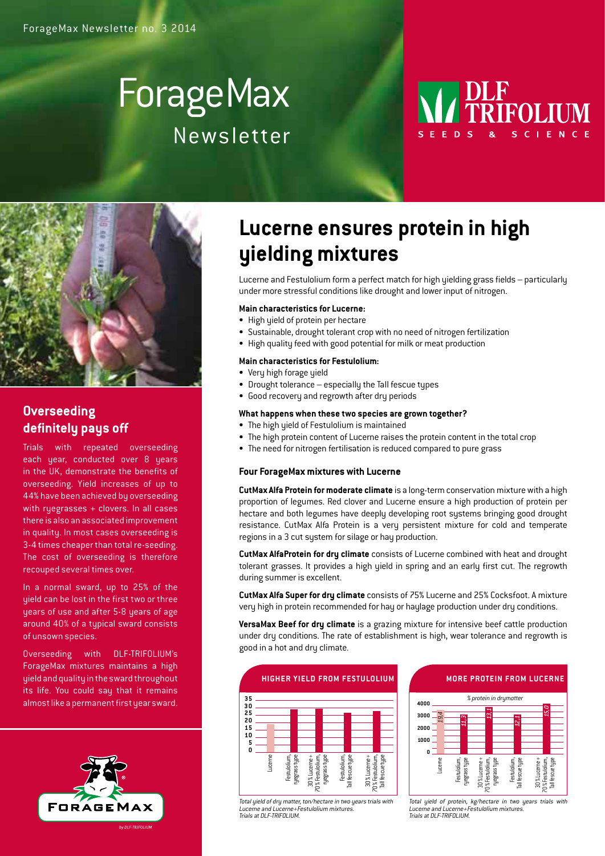# ForageMax Newsletter





### **Overseeding definitely pays off**

Trials with repeated overseeding each year, conducted over 8 years in the UK, demonstrate the benefits of overseeding. Yield increases of up to 44% have been achieved by overseeding with ryegrasses + clovers. In all cases there is also an associated improvement in quality. In most cases overseeding is 3-4 times cheaper than total re-seeding. The cost of overseeding is therefore recouped several times over.

In a normal sward, up to 25% of the yield can be lost in the first two or three years of use and after 5-8 years of age around 40% of a typical sward consists of unsown species.

Overseeding with DLF-TRIFOLIUM's ForageMax mixtures maintains a high yield and quality inthe sward throughout its life. You could say that it remains almost like a permanent first year sward.



## **Lucerne ensures protein in high yielding mixtures**

Lucerne and Festulolium form a perfect match for high yielding grass fields – particularly under more stressful conditions like drought and lower input of nitrogen.

#### **Main characteristics for Lucerne:**

- High yield of protein per hectare
- Sustainable, drought tolerant crop with no need of nitrogen fertilization
- High quality feed with good potential for milk or meat production

#### **Main characteristics for Festulolium:**

- Very high forage yield
- Drought tolerance especially the Tall fescue types
- Good recovery and regrowth after dry periods

#### **What happens when these two species are grown together?**

- The high yield of Festulolium is maintained
- The high protein content of Lucerne raises the protein content in the total crop
- The need for nitrogen fertilisation is reduced compared to pure grass

#### **Four ForageMax mixtures with Lucerne**

**CutMax Alfa Protein for moderate climate** is a long-term conservation mixture with a high proportion of legumes. Red clover and Lucerne ensure a high production of protein per hectare and both legumes have deeply developing root systems bringing good drought resistance. CutMax Alfa Protein is a very persistent mixture for cold and temperate regions in a 3 cut system for silage or hay production.

**CutMax AlfaProtein for dry climate** consists of Lucerne combined with heat and drought tolerant grasses. It provides a high yield in spring and an early first cut. The regrowth during summer is excellent.

**CutMax Alfa Super for dry climate** consists of 75% Lucerne and 25% Cocksfoot. A mixture very high in protein recommended for hay or haylage production under dry conditions.

**VersaMax Beef for dry climate** is a grazing mixture for intensive beef cattle production under dry conditions. The rate of establishment is high, wear tolerance and regrowth is good in a hot and dry climate.



**More protein from lucerne**



Total yield of dry matter, ton/hectare in two years trials with e and Lucerne+Festulolium mixture Trials at DLF-TRIFOLIUM.

Total yield of protein, kg/hectare in two years trials with Lucerne and Lucerne+Festulolium mixture<br>Trials at DLF-TRIFOLIUM.